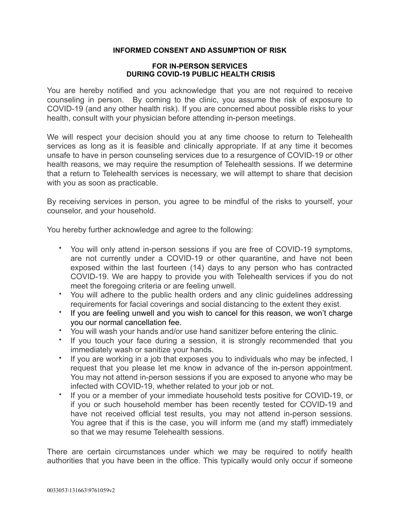## **INFORMED CONSENT AND ASSUMPTION OF RISK**

## **FOR IN-PERSON SERVICES DURING COVID-19 PUBLIC HEALTH CRISIS**

You are hereby notified and you acknowledge that you are not required to receive counseling in person. By coming to the clinic, you assume the risk of exposure to COVID-19 (and any other health risk). If you are concerned about possible risks to your health, consult with your physician before attending in-person meetings.

We will respect your decision should you at any time choose to return to Telehealth services as long as it is feasible and clinically appropriate. If at any time it becomes unsafe to have in person counseling services due to a resurgence of COVID-19 or other health reasons, we may require the resumption of Telehealth sessions. If we determine that a return to Telehealth services is necessary, we will attempt to share that decision with you as soon as practicable.

By receiving services in person, you agree to be mindful of the risks to yourself, your counselor, and your household.

You hereby further acknowledge and agree to the following:

- You will only attend in-person sessions if you are free of COVID-19 symptoms, are not currently under a COVID-19 or other quarantine, and have not been exposed within the last fourteen (14) days to any person who has contracted COVID-19. We are happy to provide you with Telehealth services if you do not meet the foregoing criteria or are feeling unwell.
- You will adhere to the public health orders and any clinic guidelines addressing requirements for facial coverings and social distancing to the extent they exist.
- If you are feeling unwell and you wish to cancel for this reason, we won't charge you our normal cancellation fee.
- You will wash your hands and/or use hand sanitizer before entering the clinic.
- If you touch your face during a session, it is strongly recommended that you immediately wash or sanitize your hands.
- If you are working in a job that exposes you to individuals who may be infected, I request that you please let me know in advance of the in-person appointment. You may not attend in-person sessions if you are exposed to anyone who may be infected with COVID-19, whether related to your job or not.
- If you or a member of your immediate household tests positive for COVID-19, or if you or such household member has been recently tested for COVID-19 and have not received official test results, you may not attend in-person sessions. You agree that if this is the case, you will inform me (and my staff) immediately so that we may resume Telehealth sessions.

There are certain circumstances under which we may be required to notify health authorities that you have been in the office. This typically would only occur if someone